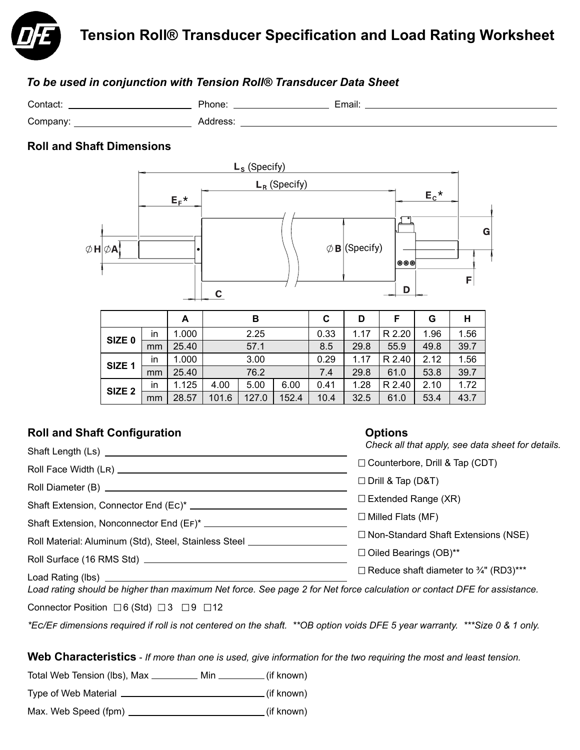

# *To be used in conjunction with Tension Roll® Transducer Data Sheet*

| Contact. | Phone: | . .<br>∟mail: |
|----------|--------|---------------|
| Company: | ں ت    |               |

# **Roll and Shaft Dimensions**



|                   |    | A     |       |       |       | u    |        |        | u    | п    |
|-------------------|----|-------|-------|-------|-------|------|--------|--------|------|------|
| SIZE <sub>0</sub> | in | 1.000 | 2.25  |       | 0.33  | 1.17 | R 2.20 | 1.96   | 1.56 |      |
|                   | mm | 25.40 |       | 57.1  |       | 8.5  | 29.8   | 55.9   | 49.8 | 39.7 |
| SIZE <sub>1</sub> | in | 1.000 | 3.00  |       |       | 0.29 | 1.17   | R 2.40 | 2.12 | 1.56 |
|                   | mm | 25.40 | 76.2  |       | 7.4   | 29.8 | 61.0   | 53.8   | 39.7 |      |
| SIZE <sub>2</sub> | in | 1.125 | 4.00  | 5.00  | 6.00  | 0.41 | 1.28   | R 2.40 | 2.10 | 1.72 |
|                   | mm | 28.57 | 101.6 | 127.0 | 152.4 | 10.4 | 32.5   | 61.0   | 53.4 | 43.7 |

# **Roll and Shaft Configuration**

# **Options**

| $11911$ and share soning arabitrario                                                                            | -------                                                  |
|-----------------------------------------------------------------------------------------------------------------|----------------------------------------------------------|
|                                                                                                                 | Check all that apply, see data sheet for details.        |
|                                                                                                                 | □ Counterbore, Drill & Tap (CDT)                         |
|                                                                                                                 | $\Box$ Drill & Tap (D&T)                                 |
|                                                                                                                 | $\Box$ Extended Range (XR)                               |
| Shaft Extension, Nonconnector End (EF)* __________                                                              | $\Box$ Milled Flats (MF)                                 |
| Roll Material: Aluminum (Std), Steel, Stainless Steel _________                                                 | □ Non-Standard Shaft Extensions (NSE)                    |
|                                                                                                                 | $\Box$ Oiled Bearings (OB)**                             |
|                                                                                                                 | $\Box$ Reduce shaft diameter to $\frac{3}{4}$ " (RD3)*** |
| The dealers of the Links aller and them Matters . As a sea Afraklet the selected of seconds of BEE to section o |                                                          |

*Load rating should be higher than maximum Net force. See page 2 for Net force calculation or contact DFE for assistance.*

Connector Position  $\Box 6$  (Std)  $\Box 3$   $\Box 9$   $\Box 12$ 

*\*EC/EF dimensions required if roll is not centered on the shaft. \*\*OB option voids DFE 5 year warranty. \*\*\*Size 0 & 1 only.*

**Web Characteristics** - *If more than one is used, give information for the two requiring the most and least tension.*

Total Web Tension (lbs), Max \_\_\_\_\_\_\_\_\_ Min \_\_\_\_\_\_\_\_ (if known)

Type of Web Material  $\sqrt{\frac{1}{1+\frac{1}{1+\frac{1}{1+\frac{1}{1+\frac{1}{1+\frac{1}{1+\frac{1}{1+\frac{1}{1+\frac{1}{1+\frac{1}{1+\frac{1}{1+\frac{1}{1+\frac{1}{1+\frac{1}{1+\frac{1}{1+\frac{1}{1+\frac{1}{1+\frac{1}{1+\frac{1}{1+\frac{1}{1+\frac{1}{1+\frac{1}{1+\frac{1}{1+\frac{1}{1+\frac{1}{1+\frac{1}{1+\frac{1}{1+\frac{1}{1+\frac{1}{1+\frac{1}{1+\frac{1}{1+\frac{1}{1+\frac{1}{1$ 

Max. Web Speed (fpm) \_\_\_\_\_\_\_\_\_\_\_\_\_\_\_\_\_\_\_\_\_\_\_\_\_\_\_\_\_\_\_\_\_\_(if known)